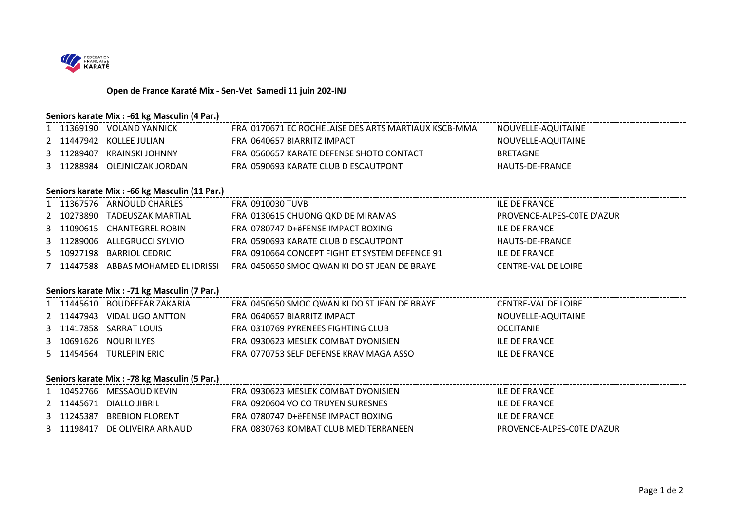

## **Open de France Karaté Mix - Sen-Vet Samedi 11 juin 202-INJ**

### **Seniors karate Mix : -61 kg Masculin (4 Par.)**

|   | 1 11369190 VOLAND YANNICK                       | FRA 0170671 EC ROCHELAISE DES ARTS MARTIAUX KSCB-MMA | NOUVELLE-AQUITAINE         |
|---|-------------------------------------------------|------------------------------------------------------|----------------------------|
|   | 2 11447942 KOLLEE JULIAN                        | FRA 0640657 BIARRITZ IMPACT                          | NOUVELLE-AQUITAINE         |
|   | 3 11289407 KRAINSKI JOHNNY                      | FRA 0560657 KARATE DEFENSE SHOTO CONTACT             | <b>BRETAGNE</b>            |
| 3 | 11288984 OLEJNICZAK JORDAN                      | FRA 0590693 KARATE CLUB D ESCAUTPONT                 | HAUTS-DE-FRANCE            |
|   |                                                 |                                                      |                            |
|   | Seniors karate Mix : - 66 kg Masculin (11 Par.) |                                                      |                            |
|   | 1 11367576 ARNOULD CHARLES                      | FRA 0910030 TUVB                                     | <b>ILE DE FRANCE</b>       |
|   | 2 10273890 TADEUSZAK MARTIAL                    | FRA 0130615 CHUONG QKD DE MIRAMAS                    | PROVENCE-ALPES-COTE D'AZUR |
|   | 3 11090615 CHANTEGREL ROBIN                     | FRA 0780747 D+ëFENSE IMPACT BOXING                   | <b>ILE DE FRANCE</b>       |
|   | 3 11289006 ALLEGRUCCI SYLVIO                    | FRA 0590693 KARATE CLUB D ESCAUTPONT                 | HAUTS-DE-FRANCE            |
|   | 5 10927198 BARRIOL CEDRIC                       | FRA 0910664 CONCEPT FIGHT ET SYSTEM DEFENCE 91       | <b>ILE DE FRANCE</b>       |
|   | 7 11447588 ABBAS MOHAMED EL IDRISSI             | FRA 0450650 SMOC QWAN KI DO ST JEAN DE BRAYE         | <b>CENTRE-VAL DE LOIRE</b> |
|   |                                                 |                                                      |                            |
|   | Seniors karate Mix : - 71 kg Masculin (7 Par.)  |                                                      |                            |
|   |                                                 |                                                      |                            |
|   | 1 11445610 BOUDEFFAR ZAKARIA                    | FRA 0450650 SMOC QWAN KI DO ST JEAN DE BRAYE         | <b>CENTRE-VAL DE LOIRE</b> |
|   | 2 11447943 VIDAL UGO ANTTON                     | FRA 0640657 BIARRITZ IMPACT                          | NOUVELLE-AQUITAINE         |
| 3 | 11417858 SARRAT LOUIS                           | FRA 0310769 PYRENEES FIGHTING CLUB                   | <b>OCCITANIE</b>           |
| 3 | 10691626 NOURI ILYES                            | FRA 0930623 MESLEK COMBAT DYONISIEN                  | <b>ILE DE FRANCE</b>       |
|   | 5 11454564 TURLEPIN ERIC                        | FRA 0770753 SELF DEFENSE KRAV MAGA ASSO              | <b>ILE DE FRANCE</b>       |
|   |                                                 |                                                      |                            |
|   | Seniors karate Mix : - 78 kg Masculin (5 Par.)  |                                                      |                            |
|   | 1 10452766 MESSAOUD KEVIN                       | FRA 0930623 MESLEK COMBAT DYONISIEN                  | <b>ILE DE FRANCE</b>       |
|   | 2 11445671 DIALLO JIBRIL                        | FRA 0920604 VO CO TRUYEN SURESNES                    | <b>ILE DE FRANCE</b>       |
|   | 3 11245387 BREBION FLORENT                      | FRA 0780747 D+ëFENSE IMPACT BOXING                   | <b>ILE DE FRANCE</b>       |
|   | 3 11198417 DE OLIVEIRA ARNAUD                   | FRA 0830763 KOMBAT CLUB MEDITERRANEEN                | PROVENCE-ALPES-COTE D'AZUR |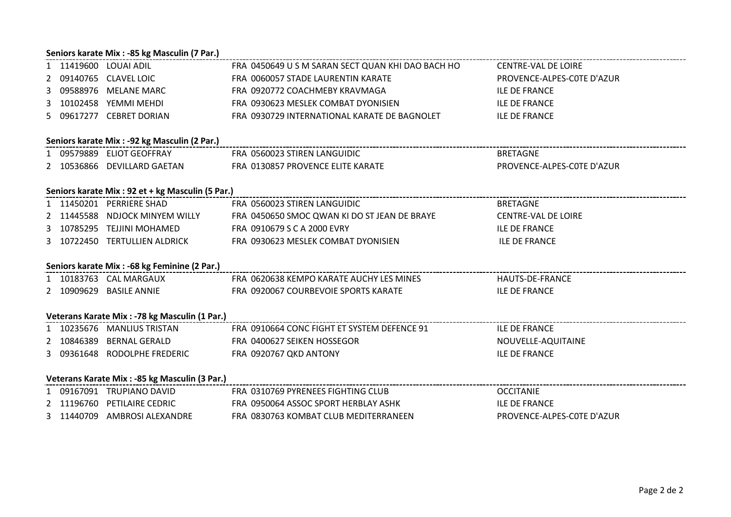#### **Seniors karate Mix : -85 kg Masculin (7 Par.)**

|  | 1 11419600 LOUAI ADIL                             | FRA 0450649 U S M SARAN SECT QUAN KHI DAO BACH HO CENTRE-VAL DE LOIRE |                            |
|--|---------------------------------------------------|-----------------------------------------------------------------------|----------------------------|
|  | 2 09140765 CLAVEL LOIC                            | FRA 0060057 STADE LAURENTIN KARATE                                    | PROVENCE-ALPES-COTE D'AZUR |
|  | 3 09588976 MELANE MARC                            | FRA 0920772 COACHMEBY KRAVMAGA                                        | <b>ILE DE FRANCE</b>       |
|  | 3 10102458 YEMMI MEHDI                            | FRA 0930623 MESLEK COMBAT DYONISIEN                                   | <b>ILE DE FRANCE</b>       |
|  | 5 09617277 CEBRET DORIAN                          | FRA 0930729 INTERNATIONAL KARATE DE BAGNOLET                          | <b>ILE DE FRANCE</b>       |
|  |                                                   |                                                                       |                            |
|  | Seniors karate Mix : - 92 kg Masculin (2 Par.)    |                                                                       |                            |
|  | 1 09579889 ELIOT GEOFFRAY                         | FRA 0560023 STIREN LANGUIDIC                                          | <b>BRETAGNE</b>            |
|  | 2 10536866 DEVILLARD GAETAN                       | FRA 0130857 PROVENCE ELITE KARATE                                     | PROVENCE-ALPES-COTE D'AZUR |
|  |                                                   |                                                                       |                            |
|  | Seniors karate Mix : 92 et + kg Masculin (5 Par.) |                                                                       |                            |
|  | 1 11450201 PERRIERE SHAD                          | FRA 0560023 STIREN LANGUIDIC                                          | <b>BRETAGNE</b>            |
|  | 2 11445588 NDJOCK MINYEM WILLY                    | FRA 0450650 SMOC QWAN KI DO ST JEAN DE BRAYE                          | <b>CENTRE-VAL DE LOIRE</b> |
|  | 3 10785295 TEJJINI MOHAMED                        | FRA 0910679 S C A 2000 EVRY                                           | <b>ILE DE FRANCE</b>       |
|  | 3 10722450 TERTULLIEN ALDRICK                     | FRA 0930623 MESLEK COMBAT DYONISIEN                                   | <b>ILE DE FRANCE</b>       |
|  |                                                   |                                                                       |                            |
|  | Seniors karate Mix : -68 kg Feminine (2 Par.)     |                                                                       |                            |
|  | 1 10183763 CAL MARGAUX                            | FRA 0620638 KEMPO KARATE AUCHY LES MINES                              | HAUTS-DE-FRANCE            |
|  | 2 10909629 BASILE ANNIE                           | FRA 0920067 COURBEVOIE SPORTS KARATE                                  | <b>ILE DE FRANCE</b>       |
|  |                                                   |                                                                       |                            |
|  | Veterans Karate Mix : - 78 kg Masculin (1 Par.)   | ------------------------------------                                  |                            |
|  | 1 10235676 MANLIUS TRISTAN                        | FRA 0910664 CONC FIGHT ET SYSTEM DEFENCE 91                           | <b>ILE DE FRANCE</b>       |
|  | 2 10846389 BERNAL GERALD                          | FRA 0400627 SEIKEN HOSSEGOR                                           | NOUVELLE-AQUITAINE         |
|  | 3 09361648 RODOLPHE FREDERIC                      | FRA 0920767 QKD ANTONY                                                | <b>ILE DE FRANCE</b>       |
|  |                                                   |                                                                       |                            |
|  | Veterans Karate Mix : -85 kg Masculin (3 Par.)    | -------------------------------------                                 |                            |
|  | 1 09167091 TRUPIANO DAVID                         | FRA 0310769 PYRENEES FIGHTING CLUB                                    | <b>OCCITANIE</b>           |
|  | 2 11196760 PETILAIRE CEDRIC                       | FRA 0950064 ASSOC SPORT HERBLAY ASHK                                  | <b>ILE DE FRANCE</b>       |
|  | 3 11440709 AMBROSI ALEXANDRE                      | FRA 0830763 KOMBAT CLUB MEDITERRANEEN                                 | PROVENCE-ALPES-COTE D'AZUR |
|  |                                                   |                                                                       |                            |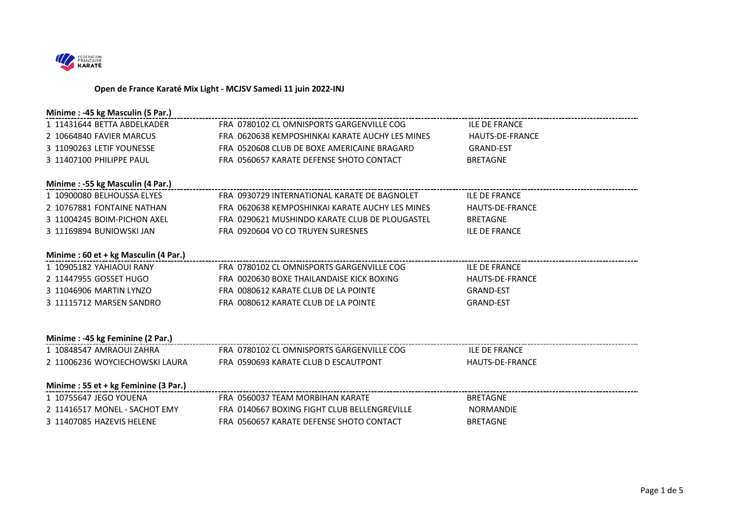

#### **Open de France Karaté Mix Light - MCJSV Samedi 11 juin 2022-INJ**

| Minime: -45 kg Masculin (5 Par.)     |                                                 |                        |
|--------------------------------------|-------------------------------------------------|------------------------|
| 1 11431644 BETTA ABDELKADER          | FRA 0780102 CL OMNISPORTS GARGENVILLE COG       | <b>ILE DE FRANCE</b>   |
| 2 10664840 FAVIER MARCUS             | FRA 0620638 KEMPOSHINKAI KARATE AUCHY LES MINES | <b>HAUTS-DE-FRANCE</b> |
| 3 11090263 LETIF YOUNESSE            | FRA 0520608 CLUB DE BOXE AMERICAINE BRAGARD     | <b>GRAND-EST</b>       |
| 3 11407100 PHILIPPE PAUL             | FRA 0560657 KARATE DEFENSE SHOTO CONTACT        | <b>BRETAGNE</b>        |
| Minime: -55 kg Masculin (4 Par.)     |                                                 |                        |
| 1 10900080 BELHOUSSA ELYES           | FRA 0930729 INTERNATIONAL KARATE DE BAGNOLET    | <b>ILE DE FRANCE</b>   |
| 2 10767881 FONTAINE NATHAN           | FRA 0620638 KEMPOSHINKAI KARATE AUCHY LES MINES | <b>HAUTS-DE-FRANCE</b> |
| 3 11004245 BOIM-PICHON AXEL          | FRA 0290621 MUSHINDO KARATE CLUB DE PLOUGASTEL  | <b>BRETAGNE</b>        |
| 3 11169894 BUNIOWSKI JAN             | FRA 0920604 VO CO TRUYEN SURESNES               | <b>ILE DE FRANCE</b>   |
|                                      |                                                 |                        |
| Minime: 60 et + kg Masculin (4 Par.) |                                                 |                        |
| 1 10905182 YAHIAOUI RANY             | FRA 0780102 CLOMNISPORTS GARGENVILLE COG        | <b>ILE DE FRANCE</b>   |
| 2 11447955 GOSSET HUGO               | FRA 0020630 BOXE THAILANDAISE KICK BOXING       | <b>HAUTS-DE-FRANCE</b> |
| 3 11046906 MARTIN LYNZO              | FRA 0080612 KARATE CLUB DE LA POINTE            | <b>GRAND-EST</b>       |
| 3 11115712 MARSEN SANDRO             | FRA 0080612 KARATE CLUB DE LA POINTE            | <b>GRAND-EST</b>       |
|                                      |                                                 |                        |
| Minime: -45 kg Feminine (2 Par.)     |                                                 |                        |
| 1 10848547 AMRAOUI ZAHRA             | FRA 0780102 CLOMNISPORTS GARGENVILLE COG        | <b>ILE DE FRANCE</b>   |
| 2 11006236 WOYCIECHOWSKI LAURA       | FRA 0590693 KARATE CLUB D ESCAUTPONT            | <b>HAUTS-DE-FRANCE</b> |
|                                      |                                                 |                        |
| Minime: 55 et + kg Feminine (3 Par.) |                                                 |                        |
| 1 10755647 JEGO YOUENA               | FRA 0560037 TFAM MORBIHAN KARATE                | <b>BRETAGNE</b>        |
| 2 11416517 MONEL - SACHOT EMY        | FRA 0140667 BOXING FIGHT CLUB BELLENGREVILLE    | NORMANDIE              |
| 3 11407085 HAZEVIS HELENE            | FRA 0560657 KARATE DEFENSE SHOTO CONTACT        | <b>BRETAGNE</b>        |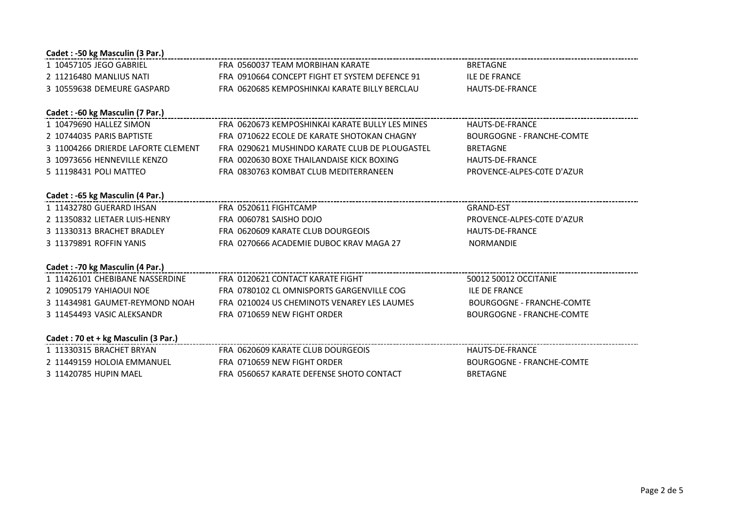| Cadet : -50 kg Masculin (3 Par.)   |                                                 |                                  |
|------------------------------------|-------------------------------------------------|----------------------------------|
| 1 10457105 JEGO GABRIEL            | FRA 0560037 TEAM MORBIHAN KARATE                | <b>BRETAGNE</b>                  |
| 2 11216480 MANLIUS NATI            | FRA 0910664 CONCEPT FIGHT ET SYSTEM DEFENCE 91  | <b>ILE DE FRANCE</b>             |
| 3 10559638 DEMEURE GASPARD         | FRA 0620685 KEMPOSHINKAI KARATE BILLY BERCLAU   | <b>HAUTS-DE-FRANCE</b>           |
|                                    |                                                 |                                  |
| Cadet : -60 kg Masculin (7 Par.)   |                                                 |                                  |
| 1 10479690 HALLEZ SIMON            | FRA 0620673 KEMPOSHINKAI KARATE BULLY LES MINES | HAUTS-DE-FRANCE                  |
| 2 10744035 PARIS BAPTISTE          | FRA 0710622 ECOLE DE KARATE SHOTOKAN CHAGNY     | <b>BOURGOGNE - FRANCHE-COMTE</b> |
| 3 11004266 DRIERDE LAFORTE CLEMENT | FRA 0290621 MUSHINDO KARATE CLUB DE PLOUGASTEL  | <b>BRETAGNE</b>                  |
| 3 10973656 HENNEVILLE KENZO        | FRA 0020630 BOXE THAILANDAISE KICK BOXING       | <b>HAUTS-DE-FRANCE</b>           |
| 5 11198431 POLI MATTEO             | FRA 0830763 KOMBAT CLUB MEDITERRANEEN           | PROVENCE-ALPES-COTE D'AZUR       |
|                                    |                                                 |                                  |
| Cadet : -65 kg Masculin (4 Par.)   |                                                 |                                  |
| 1 11432780 GUERARD IHSAN           | FRA 0520611 FIGHTCAMP                           | <b>GRAND-EST</b>                 |
| 2 11350832 LIETAER LUIS-HENRY      | FRA 0060781 SAISHO DOJO                         | PROVENCE-ALPES-COTE D'AZUR       |
| 3 11330313 BRACHET BRADLEY         | FRA 0620609 KARATE CLUB DOURGEOIS               | <b>HAUTS-DE-FRANCE</b>           |
| 3 11379891 ROFFIN YANIS            | FRA 0270666 ACADEMIE DUBOC KRAV MAGA 27         | <b>NORMANDIE</b>                 |
|                                    |                                                 |                                  |
| Cadet : -70 kg Masculin (4 Par.)   |                                                 |                                  |
| 1 11426101 CHEBIBANE NASSERDINE    | FRA 0120621 CONTACT KARATE FIGHT                | 50012 50012 OCCITANIE            |
| 2 10905179 YAHIAOUI NOE            | FRA 0780102 CL OMNISPORTS GARGENVILLE COG       | <b>ILE DE FRANCE</b>             |
| 3 11434981 GAUMET-REYMOND NOAH     | FRA 0210024 US CHEMINOTS VENAREY LES LAUMES     | BOURGOGNE - FRANCHE-COMTE        |
| 3 11454493 VASIC ALEKSANDR         | FRA 0710659 NEW FIGHT ORDER                     | <b>BOURGOGNE - FRANCHE-COMTE</b> |
|                                    |                                                 |                                  |
|                                    |                                                 |                                  |
| 1 11330315 BRACHET BRYAN           | FRA 0620609 KARATE CLUB DOURGEOIS               | HAUTS-DE-FRANCE                  |
| 2 11449159 HOLOIA EMMANUEL         | FRA 0710659 NEW FIGHT ORDER                     | <b>BOURGOGNE - FRANCHE-COMTE</b> |
| 3 11420785 HUPIN MAEL              | FRA 0560657 KARATE DEFENSE SHOTO CONTACT        | <b>BRETAGNE</b>                  |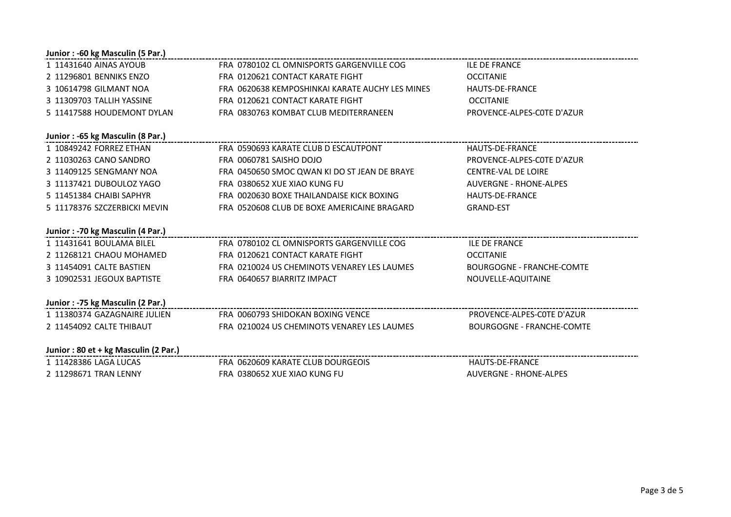| FRA 0780102 CL OMNISPORTS GARGENVILLE COG       | <b>ILE DE FRANCE</b>             |
|-------------------------------------------------|----------------------------------|
| FRA 0120621 CONTACT KARATE FIGHT                | <b>OCCITANIE</b>                 |
| FRA 0620638 KEMPOSHINKAI KARATE AUCHY LES MINES | <b>HAUTS-DE-FRANCE</b>           |
| FRA 0120621 CONTACT KARATE FIGHT                | <b>OCCITANIE</b>                 |
| FRA 0830763 KOMBAT CLUB MEDITERRANEEN           | PROVENCE-ALPES-COTE D'AZUR       |
|                                                 |                                  |
| FRA 0590693 KARATE CLUB D ESCAUTPONT            | <b>HAUTS-DE-FRANCE</b>           |
| FRA 0060781 SAISHO DOJO                         | PROVENCE-ALPES-COTE D'AZUR       |
| FRA 0450650 SMOC QWAN KI DO ST JEAN DE BRAYE    | <b>CENTRE-VAL DE LOIRE</b>       |
| FRA 0380652 XUE XIAO KUNG FU                    | <b>AUVERGNE - RHONE-ALPES</b>    |
| FRA 0020630 BOXE THAILANDAISE KICK BOXING       | <b>HAUTS-DE-FRANCE</b>           |
| FRA 0520608 CLUB DE BOXE AMERICAINE BRAGARD     | <b>GRAND-EST</b>                 |
|                                                 |                                  |
| FRA 0780102 CL OMNISPORTS GARGENVILLE COG       | <b>ILE DE FRANCE</b>             |
| FRA 0120621 CONTACT KARATE FIGHT                | <b>OCCITANIE</b>                 |
| FRA 0210024 US CHEMINOTS VENAREY LES LAUMES     | <b>BOURGOGNE - FRANCHE-COMTE</b> |
| FRA 0640657 BIARRITZ IMPACT                     | NOUVELLE-AQUITAINE               |
|                                                 |                                  |
| FRA 0060793 SHIDOKAN BOXING VENCE               | PROVENCE-ALPES-COTE D'AZUR       |
| FRA 0210024 US CHEMINOTS VENAREY LES LAUMES     | <b>BOURGOGNE - FRANCHE-COMTE</b> |
|                                                 |                                  |
| FRA 0620609 KARATE CLUB DOURGEOIS               | HAUTS-DE-FRANCE                  |
| FRA 0380652 XUE XIAO KUNG FU                    | <b>AUVERGNE - RHONE-ALPES</b>    |
|                                                 |                                  |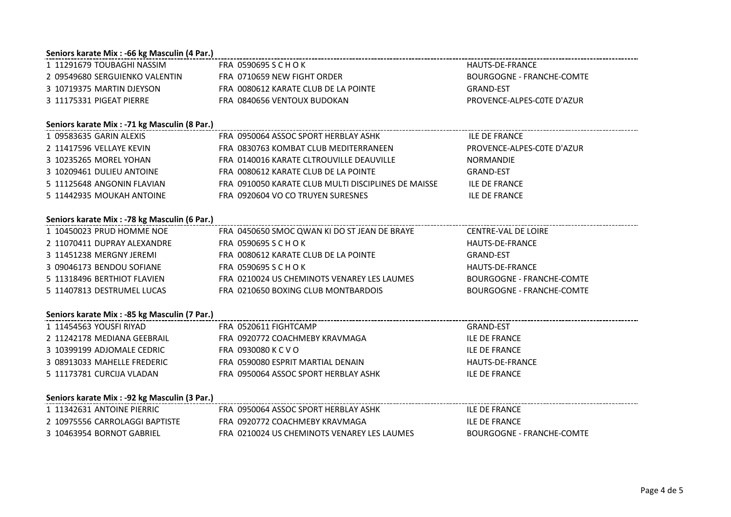### **Seniors karate Mix : -66 kg Masculin (4 Par.)**

| 1 11291679 TOUBAGHI NASSIM     | FRA 0590695 S C H O K                | HAUTS-DE-FRANCE            |
|--------------------------------|--------------------------------------|----------------------------|
| 2 09549680 SERGUIENKO VALENTIN | FRA 0710659 NEW FIGHT ORDER          | BOURGOGNE - FRANCHE-COMTE  |
| 3 10719375 MARTIN DJEYSON      | FRA 0080612 KARATE CLUB DE LA POINTE | <b>GRAND-FST</b>           |
| 3 11175331 PIGEAT PIERRE       | FRA 0840656 VENTOUX BUDOKAN          | PROVENCE-ALPES-COTE D'AZUR |

# **Seniors karate Mix : -71 kg Masculin (8 Par.)**

| 1 09583635 GARIN ALEXIS    | FRA 0950064 ASSOC SPORT HERBLAY ASHK                | <b>ILE DE FRANCE</b>       |
|----------------------------|-----------------------------------------------------|----------------------------|
| 2  11417596 VELLAYE KEVIN  | FRA 0830763 KOMBAT CLUB MEDITERRANEEN               | PROVENCE-ALPES-COTE D'AZUR |
| 3 10235265 MOREL YOHAN     | FRA 0140016 KARATE CLTROUVILLE DEAUVILLE            | NORMANDIE                  |
| 3 10209461 DULIEU ANTOINE  | FRA 0080612 KARATE CLUB DE LA POINTE                | GRAND-EST                  |
| 5 11125648 ANGONIN FLAVIAN | FRA 0910050 KARATE CLUB MULTI DISCIPLINES DE MAISSE | <b>ILE DE FRANCE</b>       |
| 5 11442935 MOUKAH ANTOINE  | FRA 0920604 VO CO TRUYEN SURESNES                   | <b>ILE DE FRANCE</b>       |

#### **Seniors karate Mix : -78 kg Masculin (6 Par.)**

| 1 10450023 PRUD HOMME NOE   | FRA 0450650 SMOC QWAN KI DO ST JEAN DE BRAYE | CENTRE-VAL DE LOIRE       |
|-----------------------------|----------------------------------------------|---------------------------|
| 2 11070411 DUPRAY ALEXANDRE | FRA 0590695 S C H O K                        | HAUTS-DE-FRANCE           |
| 3 11451238 MERGNY JEREMI    | FRA 0080612 KARATE CLUB DE LA POINTE         | GRAND-EST                 |
| 3 09046173 BENDOU SOFIANE   | FRA 0590695 S C H O K                        | HAUTS-DE-FRANCE           |
| 5 11318496 BERTHIOT FLAVIEN | FRA 0210024 US CHEMINOTS VENAREY LES LAUMES  | BOURGOGNE - FRANCHE-COMTE |
| 5 11407813 DESTRUMEL LUCAS  | FRA 0210650 BOXING CLUB MONTBARDOIS          | BOURGOGNE - FRANCHE-COMTE |

#### **Seniors karate Mix : -85 kg Masculin (7 Par.)**

| 1 11454563 YOUSFI RIYAD     | FRA 0520611 FIGHTCAMP                | GRAND-EST       |
|-----------------------------|--------------------------------------|-----------------|
| 2 11242178 MEDIANA GEEBRAIL | FRA 0920772 COACHMEBY KRAVMAGA       | ILE DE FRANCE   |
| 3 10399199 ADJOMALE CEDRIC  | FRA 0930080 K C V O                  | ILE DE FRANCE   |
| 3 08913033 MAHELLE FREDERIC | FRA 0590080 ESPRIT MARTIAL DENAIN    | HAUTS-DE-FRANCE |
| 5 11173781 CURCIJA VLADAN   | FRA 0950064 ASSOC SPORT HERBLAY ASHK | ILE DE FRANCE   |

#### **Seniors karate Mix : -92 kg Masculin (3 Par.)**

| 1 11342631 ANTOINE PIERRIC     | FRA 0950064 ASSOC SPORT HERBLAY ASHK        | <b>ILE DE FRANCE</b>      |
|--------------------------------|---------------------------------------------|---------------------------|
| 2 10975556 CARROLAGGI BAPTISTE | FRA 0920772 COACHMEBY KRAVMAGA              | <b>ILE DE FRANCE</b>      |
| 3 10463954 BORNOT GABRIEL      | FRA 0210024 US CHEMINOTS VENAREY LES LAUMES | BOURGOGNE - FRANCHE-COMTE |